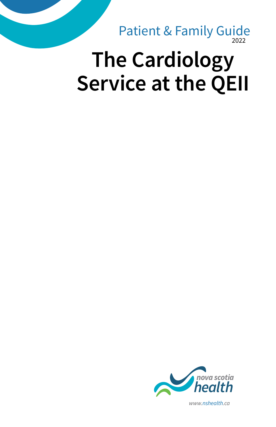2022 Patient & Family Guide

# **The Cardiology Service at the QEII**

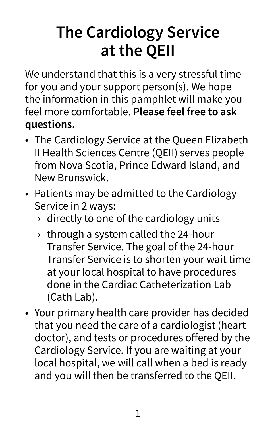# **The Cardiology Service at the QEII**

We understand that this is a very stressful time for you and your support person(s). We hope the information in this pamphlet will make you feel more comfortable. **Please feel free to ask questions.**

- The Cardiology Service at the Queen Elizabeth II Health Sciences Centre (QEII) serves people from Nova Scotia, Prince Edward Island, and New Brunswick.
- Patients may be admitted to the Cardiology Service in 2 ways:
	- $\rightarrow$  directly to one of the cardiology units
	- $\rightarrow$  through a system called the 24-hour Transfer Service. The goal of the 24-hour Transfer Service is to shorten your wait time at your local hospital to have procedures done in the Cardiac Catheterization Lab (Cath Lab).
- Your primary health care provider has decided that you need the care of a cardiologist (heart doctor), and tests or procedures offered by the Cardiology Service. If you are waiting at your local hospital, we will call when a bed is ready and you will then be transferred to the QEII.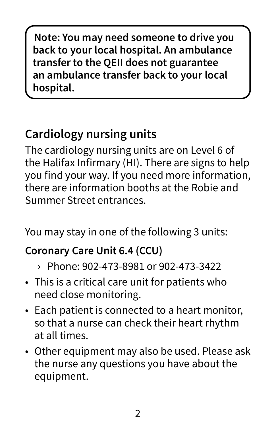**Note: You may need someone to drive you back to your local hospital. An ambulance transfer to the QEII does not guarantee an ambulance transfer back to your local hospital.**

# **Cardiology nursing units**

The cardiology nursing units are on Level 6 of the Halifax Infirmary (HI). There are signs to help you find your way. If you need more information, there are information booths at the Robie and Summer Street entrances.

You may stay in one of the following 3 units:

### **Coronary Care Unit 6.4 (CCU)**

- › Phone: 902-473-8981 or 902-473-3422
- This is a critical care unit for patients who need close monitoring.
- Each patient is connected to a heart monitor, so that a nurse can check their heart rhythm at all times.
- Other equipment may also be used. Please ask the nurse any questions you have about the equipment.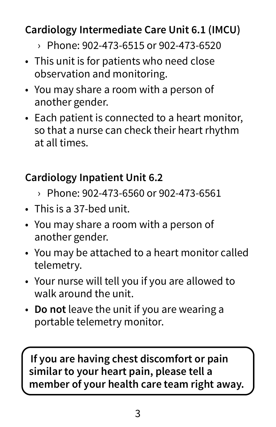### **Cardiology Intermediate Care Unit 6.1 (IMCU)**

- › Phone: 902-473-6515 or 902-473-6520
- This unit is for patients who need close observation and monitoring.
- You may share a room with a person of another gender.
- Each patient is connected to a heart monitor, so that a nurse can check their heart rhythm at all times.

### **Cardiology Inpatient Unit 6.2**

- › Phone: 902-473-6560 or 902-473-6561
- This is a 37-bed unit.
- You may share a room with a person of another gender.
- You may be attached to a heart monitor called telemetry.
- Your nurse will tell you if you are allowed to walk around the unit.
- **Do not** leave the unit if you are wearing a portable telemetry monitor.

**If you are having chest discomfort or pain similar to your heart pain, please tell a member of your health care team right away.**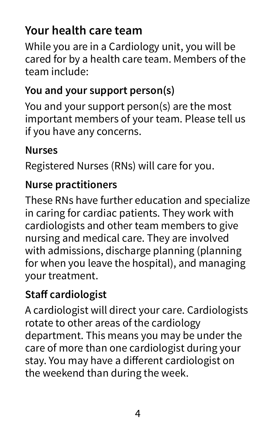# **Your health care team**

While you are in a Cardiology unit, you will be cared for by a health care team. Members of the team include:

#### **You and your support person(s)**

You and your support person(s) are the most important members of your team. Please tell us if you have any concerns.

#### **Nurses**

Registered Nurses (RNs) will care for you.

#### **Nurse practitioners**

These RNs have further education and specialize in caring for cardiac patients. They work with cardiologists and other team members to give nursing and medical care. They are involved with admissions, discharge planning (planning for when you leave the hospital), and managing your treatment.

#### **Staff cardiologist**

A cardiologist will direct your care. Cardiologists rotate to other areas of the cardiology department. This means you may be under the care of more than one cardiologist during your stay. You may have a different cardiologist on the weekend than during the week.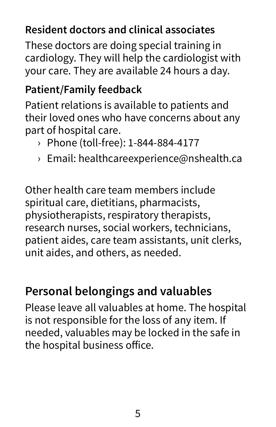### **Resident doctors and clinical associates**

These doctors are doing special training in cardiology. They will help the cardiologist with your care. They are available 24 hours a day.

#### **Patient/Family feedback**

Patient relations is available to patients and their loved ones who have concerns about any part of hospital care.

- › Phone (toll-free): 1-844-884-4177
- › Email: healthcareexperience@nshealth.ca

Other health care team members include spiritual care, dietitians, pharmacists, physiotherapists, respiratory therapists, research nurses, social workers, technicians, patient aides, care team assistants, unit clerks, unit aides, and others, as needed.

# **Personal belongings and valuables**

Please leave all valuables at home. The hospital is not responsible for the loss of any item. If needed, valuables may be locked in the safe in the hospital business office.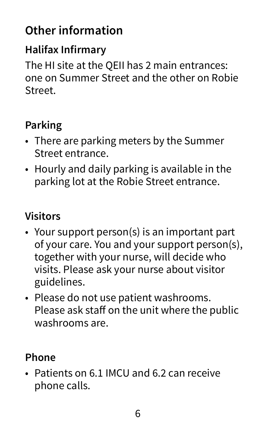# **Other information**

#### **Halifax Infirmary**

The HI site at the QEII has 2 main entrances: one on Summer Street and the other on Robie Street.

#### **Parking**

- There are parking meters by the Summer Street entrance.
- Hourly and daily parking is available in the parking lot at the Robie Street entrance.

#### **Visitors**

- Your support person(s) is an important part of your care. You and your support person(s), together with your nurse, will decide who visits. Please ask your nurse about visitor guidelines.
- Please do not use patient washrooms. Please ask staff on the unit where the public washrooms are.

#### **Phone**

• Patients on 6.1 IMCU and 6.2 can receive phone calls.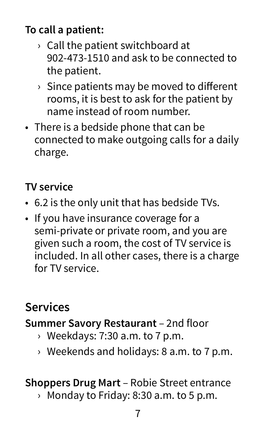## **To call a patient:**

- $\rightarrow$  Call the patient switchboard at 902-473-1510 and ask to be connected to the patient.
- $\rightarrow$  Since patients may be moved to different rooms, it is best to ask for the patient by name instead of room number.
- There is a bedside phone that can be connected to make outgoing calls for a daily charge.

#### **TV service**

- 6.2 is the only unit that has bedside TVs.
- If you have insurance coverage for a semi-private or private room, and you are given such a room, the cost of TV service is included. In all other cases, there is a charge for TV service.

# **Services**

#### **Summer Savory Restaurant** – 2nd floor

- $\rightarrow$  Weekdays: 7:30 a.m. to 7 p.m.
- › Weekends and holidays: 8 a.m. to 7 p.m.

#### **Shoppers Drug Mart** – Robie Street entrance

› Monday to Friday: 8:30 a.m. to 5 p.m.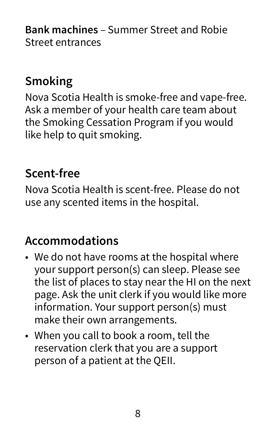**Bank machines** – Summer Street and Robie Street entrances

# **Smoking**

Nova Scotia Health is smoke-free and vape-free. Ask a member of your health care team about the Smoking Cessation Program if you would like help to quit smoking.

### **Scent-free**

Nova Scotia Health is scent-free. Please do not use any scented items in the hospital.

# **Accommodations**

- We do not have rooms at the hospital where your support person(s) can sleep. Please see the list of places to stay near the HI on the next page. Ask the unit clerk if you would like more information. Your support person(s) must make their own arrangements.
- When you call to book a room, tell the reservation clerk that you are a support person of a patient at the QEII.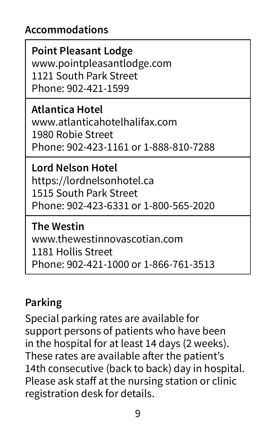#### **Accommodations**

**Point Pleasant Lodge** www.pointpleasantlodge.com 1121 South Park Street Phone: 902-421-1599

**Atlantica Hotel** www.atlanticahotelhalifax.com 1980 Robie Street Phone: 902-423-1161 or 1-888-810-7288

**Lord Nelson Hotel**  https://lordnelsonhotel.ca 1515 South Park Street Phone: 902-423-6331 or 1-800-565-2020

**The Westin** www.thewestinnovascotian.com 1181 Hollis Street Phone: 902-421-1000 or 1-866-761-3513

#### **Parking**

Special parking rates are available for support persons of patients who have been in the hospital for at least 14 days (2 weeks). These rates are available after the patient's 14th consecutive (back to back) day in hospital. Please ask staff at the nursing station or clinic registration desk for details.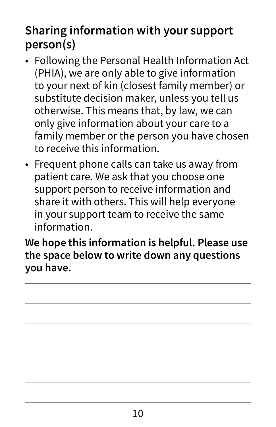# **Sharing information with your support person(s)**

- Following the Personal Health Information Act (PHIA), we are only able to give information to your next of kin (closest family member) or substitute decision maker, unless you tell us otherwise. This means that, by law, we can only give information about your care to a family member or the person you have chosen to receive this information.
- Frequent phone calls can take us away from patient care. We ask that you choose one support person to receive information and share it with others. This will help everyone in your support team to receive the same information.

**We hope this information is helpful. Please use the space below to write down any questions you have.**